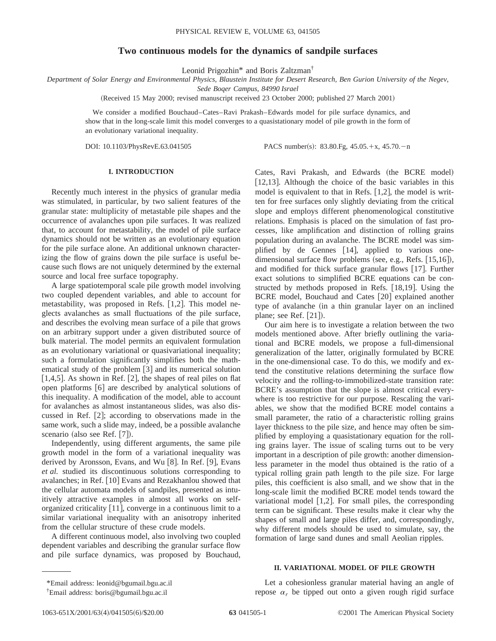# **Two continuous models for the dynamics of sandpile surfaces**

Leonid Prigozhin\* and Boris Zaltzman†

*Department of Solar Energy and Environmental Physics, Blaustein Institute for Desert Research, Ben Gurion University of the Negev,*

*Sede Boqer Campus, 84990 Israel*

(Received 15 May 2000; revised manuscript received 23 October 2000; published 27 March 2001)

We consider a modified Bouchaud–Cates–Ravi Prakash–Edwards model for pile surface dynamics, and show that in the long-scale limit this model converges to a quasistationary model of pile growth in the form of an evolutionary variational inequality.

DOI: 10.1103/PhysRevE.63.041505 PACS number(s): 83.80.Fg, 45.05. $+x$ , 45.70. $-n$ 

## **I. INTRODUCTION**

Recently much interest in the physics of granular media was stimulated, in particular, by two salient features of the granular state: multiplicity of metastable pile shapes and the occurrence of avalanches upon pile surfaces. It was realized that, to account for metastability, the model of pile surface dynamics should not be written as an evolutionary equation for the pile surface alone. An additional unknown characterizing the flow of grains down the pile surface is useful because such flows are not uniquely determined by the external source and local free surface topography.

A large spatiotemporal scale pile growth model involving two coupled dependent variables, and able to account for metastability, was proposed in Refs.  $[1,2]$ . This model neglects avalanches as small fluctuations of the pile surface, and describes the evolving mean surface of a pile that grows on an arbitrary support under a given distributed source of bulk material. The model permits an equivalent formulation as an evolutionary variational or quasivariational inequality; such a formulation significantly simplifies both the mathematical study of the problem  $\lceil 3 \rceil$  and its numerical solution [1,4,5]. As shown in Ref. [2], the shapes of real piles on flat open platforms [6] are described by analytical solutions of this inequality. A modification of the model, able to account for avalanches as almost instantaneous slides, was also discussed in Ref.  $[2]$ ; according to observations made in the same work, such a slide may, indeed, be a possible avalanche scenario (also see Ref.  $[7]$ ).

Independently, using different arguments, the same pile growth model in the form of a variational inequality was derived by Aronsson, Evans, and Wu [8]. In Ref. [9], Evans *et al.* studied its discontinuous solutions corresponding to avalanches; in Ref.  $[10]$  Evans and Rezakhanlou showed that the cellular automata models of sandpiles, presented as intuitively attractive examples in almost all works on selforganized criticality  $[11]$ , converge in a continuous limit to a similar variational inequality with an anisotropy inherited from the cellular structure of these crude models.

A different continuous model, also involving two coupled dependent variables and describing the granular surface flow and pile surface dynamics, was proposed by Bouchaud, Cates, Ravi Prakash, and Edwards (the BCRE model) [12,13]. Although the choice of the basic variables in this model is equivalent to that in Refs.  $[1,2]$ , the model is written for free surfaces only slightly deviating from the critical slope and employs different phenomenological constitutive relations. Emphasis is placed on the simulation of fast processes, like amplification and distinction of rolling grains population during an avalanche. The BCRE model was simplified by de Gennes [14], applied to various onedimensional surface flow problems (see, e.g., Refs.  $[15,16]$ ), and modified for thick surface granular flows  $[17]$ . Further exact solutions to simplified BCRE equations can be constructed by methods proposed in Refs.  $[18,19]$ . Using the BCRE model, Bouchaud and Cates [20] explained another type of avalanche (in a thin granular layer on an inclined plane; see Ref.  $[21]$ ).

Our aim here is to investigate a relation between the two models mentioned above. After briefly outlining the variational and BCRE models, we propose a full-dimensional generalization of the latter, originally formulated by BCRE in the one-dimensional case. To do this, we modify and extend the constitutive relations determining the surface flow velocity and the rolling-to-immobilized-state transition rate: BCRE's assumption that the slope is almost critical everywhere is too restrictive for our purpose. Rescaling the variables, we show that the modified BCRE model contains a small parameter, the ratio of a characteristic rolling grains layer thickness to the pile size, and hence may often be simplified by employing a quasistationary equation for the rolling grains layer. The issue of scaling turns out to be very important in a description of pile growth: another dimensionless parameter in the model thus obtained is the ratio of a typical rolling grain path length to the pile size. For large piles, this coefficient is also small, and we show that in the long-scale limit the modified BCRE model tends toward the variational model  $[1,2]$ . For small piles, the corresponding term can be significant. These results make it clear why the shapes of small and large piles differ, and, correspondingly, why different models should be used to simulate, say, the formation of large sand dunes and small Aeolian ripples.

#### **II. VARIATIONAL MODEL OF PILE GROWTH**

Let a cohesionless granular material having an angle of repose  $\alpha_r$  be tipped out onto a given rough rigid surface

<sup>\*</sup>Email address: leonid@bgumail.bgu.ac.il

<sup>†</sup> Email address: boris@bgumail.bgu.ac.il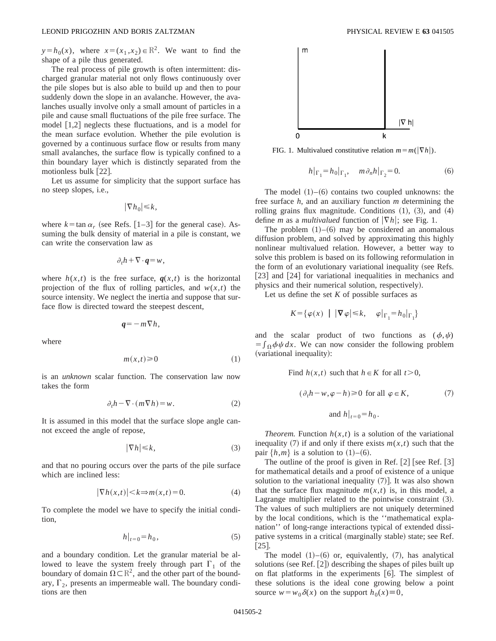$y=h_0(x)$ , where  $x=(x_1, x_2) \in \mathbb{R}^2$ . We want to find the shape of a pile thus generated.

The real process of pile growth is often intermittent: discharged granular material not only flows continuously over the pile slopes but is also able to build up and then to pour suddenly down the slope in an avalanche. However, the avalanches usually involve only a small amount of particles in a pile and cause small fluctuations of the pile free surface. The model  $\lceil 1,2 \rceil$  neglects these fluctuations, and is a model for the mean surface evolution. Whether the pile evolution is governed by a continuous surface flow or results from many small avalanches, the surface flow is typically confined to a thin boundary layer which is distinctly separated from the motionless bulk  $[22]$ .

Let us assume for simplicity that the support surface has no steep slopes, i.e.,

$$
|\nabla h_0| \le k,
$$

where  $k = \tan \alpha_r$  (see Refs. [1–3] for the general case). Assuming the bulk density of material in a pile is constant, we can write the conservation law as

$$
\partial_t h + \nabla \cdot \boldsymbol{q} = w,
$$

where  $h(x,t)$  is the free surface,  $q(x,t)$  is the horizontal projection of the flux of rolling particles, and  $w(x,t)$  the source intensity. We neglect the inertia and suppose that surface flow is directed toward the steepest descent,

$$
q=-m\nabla h,
$$

where

$$
m(x,t) \ge 0 \tag{1}
$$

is an *unknown* scalar function. The conservation law now takes the form

$$
\partial_t h - \nabla \cdot (m \nabla h) = w. \tag{2}
$$

It is assumed in this model that the surface slope angle cannot exceed the angle of repose,

$$
|\nabla h| \le k,\tag{3}
$$

and that no pouring occurs over the parts of the pile surface which are inclined less:

$$
|\nabla h(x,t)| < k \Rightarrow m(x,t) = 0.
$$
 (4)

To complete the model we have to specify the initial condition,

$$
h|_{t=0} = h_0, \tag{5}
$$

and a boundary condition. Let the granular material be allowed to leave the system freely through part  $\Gamma_1$  of the boundary of domain  $\Omega \subset \mathbb{R}^2$ , and the other part of the boundary,  $\Gamma_2$ , presents an impermeable wall. The boundary conditions are then



FIG. 1. Multivalued constitutive relation  $m = m(|\nabla h|)$ .

$$
h|_{\Gamma_1} = h_0|_{\Gamma_1}, \quad m\partial_n h|_{\Gamma_2} = 0.
$$
 (6)

The model  $(1)$ – $(6)$  contains two coupled unknowns: the free surface *h*, and an auxiliary function *m* determining the rolling grains flux magnitude. Conditions  $(1)$ ,  $(3)$ , and  $(4)$ define *m* as a *multivalued* function of  $|\nabla h|$ ; see Fig. 1.

The problem  $(1)$ – $(6)$  may be considered an anomalous diffusion problem, and solved by approximating this highly nonlinear multivalued relation. However, a better way to solve this problem is based on its following reformulation in the form of an evolutionary variational inequality (see Refs.  $[23]$  and  $[24]$  for variational inequalities in mechanics and physics and their numerical solution, respectively).

Let us define the set  $K$  of possible surfaces as

$$
K = \{ \varphi(x) \mid |\nabla \varphi| \le k, \varphi|_{\Gamma_1} = h_0|_{\Gamma_1} \}
$$

and the scalar product of two functions as  $(\phi, \psi)$  $=\int_{\Omega} \phi \psi dx$ . We can now consider the following problem (variational inequality):

Find 
$$
h(x,t)
$$
 such that  $h \in K$  for all  $t > 0$ ,  
\n $(\partial_t h - w, \varphi - h) \ge 0$  for all  $\varphi \in K$ , (7)  
\nand  $h|_{t=0} = h_0$ .

*Theorem.* Function  $h(x,t)$  is a solution of the variational inequality (7) if and only if there exists  $m(x,t)$  such that the pair  $\{h,m\}$  is a solution to  $(1)$ – $(6)$ .

The outline of the proof is given in Ref.  $[2]$  [see Ref.  $[3]$ ] for mathematical details and a proof of existence of a unique solution to the variational inequality  $(7)$ . It was also shown that the surface flux magnitude  $m(x,t)$  is, in this model, a Lagrange multiplier related to the pointwise constraint  $(3)$ . The values of such multipliers are not uniquely determined by the local conditions, which is the ''mathematical explanation'' of long-range interactions typical of extended dissipative systems in a critical (marginally stable) state; see Ref.  $\lceil 25 \rceil$ .

The model  $(1)$ – $(6)$  or, equivalently,  $(7)$ , has analytical solutions (see Ref.  $[2]$ ) describing the shapes of piles built up on flat platforms in the experiments  $[6]$ . The simplest of these solutions is the ideal cone growing below a point source  $w = w_0 \delta(x)$  on the support  $h_0(x) \equiv 0$ ,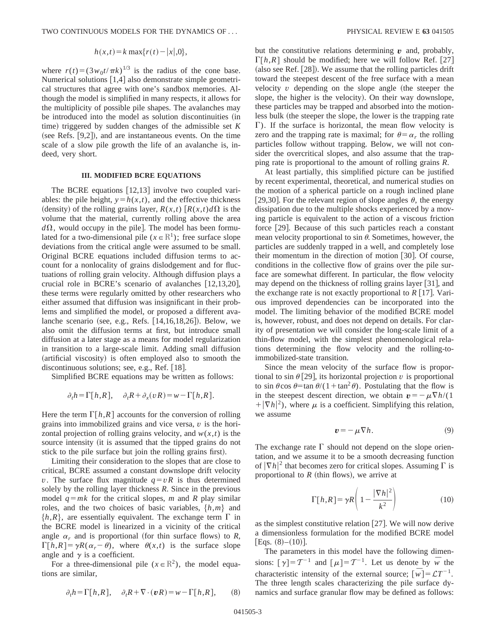$$
h(x,t) = k \max\{r(t) - |x|, 0\},\,
$$

where  $r(t)=(3w_0t/\pi k)^{1/3}$  is the radius of the cone base. Numerical solutions  $[1,4]$  also demonstrate simple geometrical structures that agree with one's sandbox memories. Although the model is simplified in many respects, it allows for the multiplicity of possible pile shapes. The avalanches may be introduced into the model as solution discontinuities (in time) triggered by sudden changes of the admissible set  $K$ (see Refs.  $[9,2]$ ), and are instantaneous events. On the time scale of a slow pile growth the life of an avalanche is, indeed, very short.

## **III. MODIFIED BCRE EQUATIONS**

The BCRE equations  $[12,13]$  involve two coupled variables: the pile height,  $y=h(x,t)$ , and the effective thickness (density) of the rolling grains layer,  $R(x,t)$   $\left[ R(x,t) d\Omega \right]$  is the volume that the material, currently rolling above the area  $d\Omega$ , would occupy in the pile]. The model has been formulated for a two-dimensional pile ( $x \in \mathbb{R}^1$ ); free surface slope deviations from the critical angle were assumed to be small. Original BCRE equations included diffusion terms to account for a nonlocality of grains dislodgement and for fluctuations of rolling grain velocity. Although diffusion plays a crucial role in BCRE's scenario of avalanches  $[12,13,20]$ , these terms were regularly omitted by other researchers who either assumed that diffusion was insignificant in their problems and simplified the model, or proposed a different avalanche scenario (see, e.g., Refs.  $[14,16,18,26]$ ). Below, we also omit the diffusion terms at first, but introduce small diffusion at a later stage as a means for model regularization in transition to a large-scale limit. Adding small diffusion (artificial viscosity) is often employed also to smooth the discontinuous solutions; see, e.g., Ref.  $[18]$ .

Simplified BCRE equations may be written as follows:

$$
\partial_t h = \Gamma[h, R], \quad \partial_t R + \partial_x (vR) = w - \Gamma[h, R].
$$

Here the term  $\Gamma[h, R]$  accounts for the conversion of rolling grains into immobilized grains and vice versa, *v* is the horizontal projection of rolling grains velocity, and  $w(x,t)$  is the source intensity (it is assumed that the tipped grains do not stick to the pile surface but join the rolling grains first).

Limiting their consideration to the slopes that are close to critical, BCRE assumed a constant downslope drift velocity *v*. The surface flux magnitude  $q = vR$  is thus determined solely by the rolling layer thickness *R*. Since in the previous model  $q = mk$  for the critical slopes, *m* and *R* play similar roles, and the two choices of basic variables,  $\{h,m\}$  and  $\{h, R\}$ , are essentially equivalent. The exchange term  $\Gamma$  in the BCRE model is linearized in a vicinity of the critical angle  $\alpha_r$  and is proportional (for thin surface flows) to *R*,  $\Gamma[h, R] = \gamma R(\alpha_r - \theta)$ , where  $\theta(x, t)$  is the surface slope angle and  $\gamma$  is a coefficient.

For a three-dimensional pile  $(x \in \mathbb{R}^2)$ , the model equations are similar,

$$
\partial_t h = \Gamma[h, R], \quad \partial_t R + \nabla \cdot (\boldsymbol{v} R) = w - \Gamma[h, R], \qquad (8)
$$

but the constitutive relations determining  $\boldsymbol{v}$  and, probably,  $\Gamma[h,R]$  should be modified; here we will follow Ref. [27]  $(a$ lso see Ref.  $[28]$ . We assume that the rolling particles drift toward the steepest descent of the free surface with a mean velocity  $v$  depending on the slope angle (the steeper the slope, the higher is the velocity). On their way downslope, these particles may be trapped and absorbed into the motionless bulk (the steeper the slope, the lower is the trapping rate  $\Gamma$ ). If the surface is horizontal, the mean flow velocity is zero and the trapping rate is maximal; for  $\theta = \alpha_r$  the rolling particles follow without trapping. Below, we will not consider the overcritical slopes, and also assume that the trapping rate is proportional to the amount of rolling grains *R*.

At least partially, this simplified picture can be justified by recent experimental, theoretical, and numerical studies on the motion of a spherical particle on a rough inclined plane [29,30]. For the relevant region of slope angles  $\theta$ , the energy dissipation due to the multiple shocks experienced by a moving particle is equivalent to the action of a viscous friction force  $[29]$ . Because of this such particles reach a constant mean velocity proportional to  $sin \theta$ . Sometimes, however, the particles are suddenly trapped in a well, and completely lose their momentum in the direction of motion  $[30]$ . Of course, conditions in the collective flow of grains over the pile surface are somewhat different. In particular, the flow velocity may depend on the thickness of rolling grains layer  $[31]$ , and the exchange rate is not exactly proportional to  $R$  [17]. Various improved dependencies can be incorporated into the model. The limiting behavior of the modified BCRE model is, however, robust, and does not depend on details. For clarity of presentation we will consider the long-scale limit of a thin-flow model, with the simplest phenomenological relations determining the flow velocity and the rolling-toimmobilized-state transition.

Since the mean velocity of the surface flow is proportional to sin  $\theta$  [29], its horizontal projection *v* is proportional to sin  $\theta$ cos  $\theta$ =tan  $\theta$ /(1+tan<sup>2</sup> $\theta$ ). Postulating that the flow is in the steepest descent direction, we obtain  $\mathbf{v} = -\mu \nabla h/(1$  $+|\nabla h|^2$ , where  $\mu$  is a coefficient. Simplifying this relation, we assume

$$
\mathbf{v} = -\mu \nabla h. \tag{9}
$$

The exchange rate  $\Gamma$  should not depend on the slope orientation, and we assume it to be a smooth decreasing function of  $|\nabla h|^2$  that becomes zero for critical slopes. Assuming  $\Gamma$  is proportional to  $R$  (thin flows), we arrive at

$$
\Gamma[h,R] = \gamma R \left( 1 - \frac{|\nabla h|^2}{k^2} \right) \tag{10}
$$

as the simplest constitutive relation  $[27]$ . We will now derive a dimensionless formulation for the modified BCRE model [Eqs.  $(8)–(10)$ ].

The parameters in this model have the following dimensions:  $\lceil \gamma \rceil = T^{-1}$  and  $\lceil \mu \rceil = T^{-1}$ . Let us denote by  $\bar{w}$  the characteristic intensity of the external source;  $\lceil \overline{w} \rceil = \mathcal{L}T^{-1}$ . The three length scales characterizing the pile surface dynamics and surface granular flow may be defined as follows: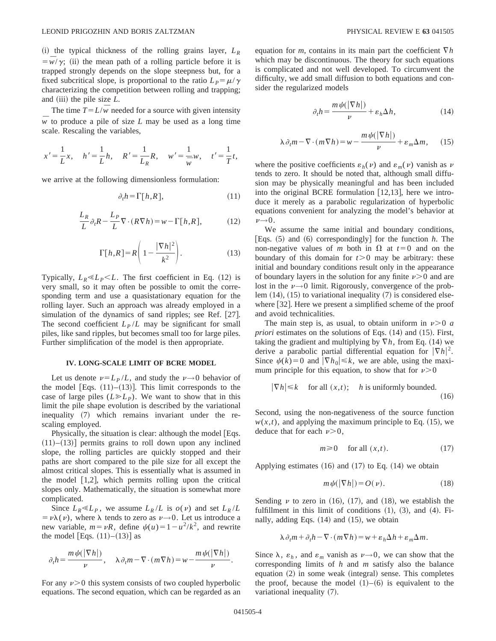$(i)$  the typical thickness of the rolling grains layer,  $L_R$  $=\overline{w}/\gamma$ ; (ii) the mean path of a rolling particle before it is trapped strongly depends on the slope steepness but, for a fixed subcritical slope, is proportional to the ratio  $L_p = \mu/\gamma$ characterizing the competition between rolling and trapping; and  $(iii)$  the pile size  $L$ .

The time  $T = L/\overline{w}$  needed for a source with given intensity  $\overline{w}$  to produce a pile of size *L* may be used as a long time scale. Rescaling the variables,

$$
x' = \frac{1}{L}x
$$
,  $h' = \frac{1}{L}h$ ,  $R' = \frac{1}{L_R}R$ ,  $w' = \frac{1}{w}w$ ,  $t' = \frac{1}{T}t$ ,

we arrive at the following dimensionless formulation:

$$
\partial_t h = \Gamma[h, R],\tag{11}
$$

$$
\frac{L_R}{L} \partial_t R - \frac{L_P}{L} \nabla \cdot (R \nabla h) = w - \Gamma[h, R], \tag{12}
$$

$$
\Gamma[h,R] = R\left(1 - \frac{|\nabla h|^2}{k^2}\right).
$$
 (13)

Typically,  $L_R \ll L_P \ll L$ . The first coefficient in Eq. (12) is very small, so it may often be possible to omit the corresponding term and use a quasistationary equation for the rolling layer. Such an approach was already employed in a simulation of the dynamics of sand ripples; see Ref. [27]. The second coefficient  $L_P/L$  may be significant for small piles, like sand ripples, but becomes small too for large piles. Further simplification of the model is then appropriate.

### **IV. LONG-SCALE LIMIT OF BCRE MODEL**

Let us denote  $\nu = L_P / L$ , and study the  $\nu \rightarrow 0$  behavior of the model [Eqs.  $(11)–(13)$ ]. This limit corresponds to the case of large piles  $(L \ge L_p)$ . We want to show that in this limit the pile shape evolution is described by the variational inequality  $(7)$  which remains invariant under the rescaling employed.

Physically, the situation is clear: although the model  $[Eqs.$  $(11)–(13)$  permits grains to roll down upon any inclined slope, the rolling particles are quickly stopped and their paths are short compared to the pile size for all except the almost critical slopes. This is essentially what is assumed in the model  $[1,2]$ , which permits rolling upon the critical slopes only. Mathematically, the situation is somewhat more complicated.

Since  $L_R \ll L_P$ , we assume  $L_R/L$  is  $o(v)$  and set  $L_R/L$  $= v\lambda(v)$ , where  $\lambda$  tends to zero as  $v \rightarrow 0$ . Let us introduce a new variable,  $m = vR$ , define  $\psi(u) = 1 - u^2/k^2$ , and rewrite the model [Eqs.  $(11)–(13)$ ] as

$$
\partial_t h = \frac{m \psi(|\nabla h|)}{\nu}, \quad \lambda \partial_t m - \nabla \cdot (m \nabla h) = w - \frac{m \psi(|\nabla h|)}{\nu}.
$$

For any  $\nu$  > 0 this system consists of two coupled hyperbolic equations. The second equation, which can be regarded as an equation for *m*, contains in its main part the coefficient  $\nabla h$ which may be discontinuous. The theory for such equations is complicated and not well developed. To circumvent the difficulty, we add small diffusion to both equations and consider the regularized models

$$
\partial_t h = \frac{m \psi(|\nabla h|)}{\nu} + \varepsilon_h \Delta h,\tag{14}
$$

$$
\lambda \partial_t m - \nabla \cdot (m \nabla h) = w - \frac{m \psi(|\nabla h|)}{\nu} + \varepsilon_m \Delta m, \qquad (15)
$$

where the positive coefficients  $\varepsilon_h(\nu)$  and  $\varepsilon_m(\nu)$  vanish as  $\nu$ tends to zero. It should be noted that, although small diffusion may be physically meaningful and has been included into the original BCRE formulation  $[12,13]$ , here we introduce it merely as a parabolic regularization of hyperbolic equations convenient for analyzing the model's behavior at  $\nu \rightarrow 0$ .

We assume the same initial and boundary conditions, [Eqs.  $(5)$  and  $(6)$  correspondingly] for the function *h*. The non-negative values of *m* both in  $\Omega$  at  $t=0$  and on the boundary of this domain for  $t > 0$  may be arbitrary: these initial and boundary conditions result only in the appearance of boundary layers in the solution for any finite  $\nu$  > 0 and are lost in the  $\nu \rightarrow 0$  limit. Rigorously, convergence of the problem  $(14)$ ,  $(15)$  to variational inequality  $(7)$  is considered elsewhere  $[32]$ . Here we present a simplified scheme of the proof and avoid technicalities.

The main step is, as usual, to obtain uniform in  $\nu > 0$  *a priori* estimates on the solutions of Eqs. (14) and (15). First, taking the gradient and multiplying by  $\nabla h$ , from Eq. (14) we derive a parabolic partial differential equation for  $|\nabla h|^2$ . Since  $\psi(k)=0$  and  $|\nabla h_0|\leq k$ , we are able, using the maximum principle for this equation, to show that for  $\nu > 0$ .

$$
|\nabla h| \le k \quad \text{for all } (x, t); \quad h \text{ is uniformly bounded.}
$$
 (16)

Second, using the non-negativeness of the source function  $w(x,t)$ , and applying the maximum principle to Eq.  $(15)$ , we deduce that for each  $\nu > 0$ ,

$$
m \ge 0 \quad \text{for all } (x, t). \tag{17}
$$

Applying estimates  $(16)$  and  $(17)$  to Eq.  $(14)$  we obtain

$$
m\psi(|\nabla h|) = O(\nu). \tag{18}
$$

Sending  $\nu$  to zero in (16), (17), and (18), we establish the fulfillment in this limit of conditions  $(1)$ ,  $(3)$ , and  $(4)$ . Finally, adding Eqs.  $(14)$  and  $(15)$ , we obtain

$$
\lambda \partial_t m + \partial_t h - \nabla \cdot (m \nabla h) = w + \varepsilon_h \Delta h + \varepsilon_m \Delta m.
$$

Since  $\lambda$ ,  $\varepsilon_h$ , and  $\varepsilon_m$  vanish as  $\nu \rightarrow 0$ , we can show that the corresponding limits of *h* and *m* satisfy also the balance equation  $(2)$  in some weak (integral) sense. This completes the proof, because the model  $(1)$ – $(6)$  is equivalent to the variational inequality  $(7)$ .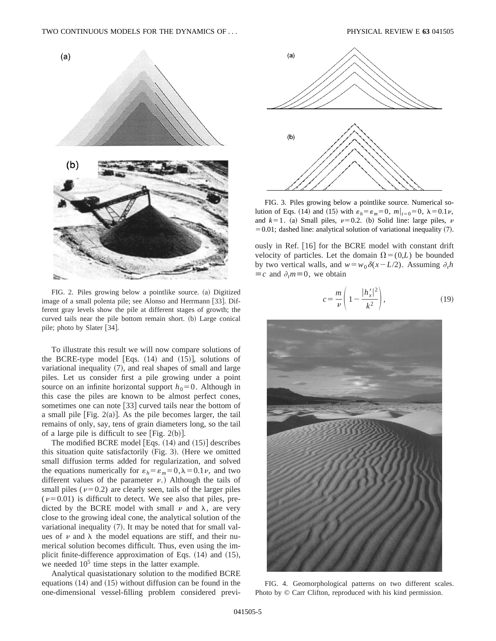

FIG. 2. Piles growing below a pointlike source. (a) Digitized image of a small polenta pile; see Alonso and Herrmann [33]. Different gray levels show the pile at different stages of growth; the curved tails near the pile bottom remain short. (b) Large conical pile; photo by Slater [34].

To illustrate this result we will now compare solutions of the BCRE-type model [Eqs.  $(14)$  and  $(15)$ ], solutions of variational inequality  $(7)$ , and real shapes of small and large piles. Let us consider first a pile growing under a point source on an infinite horizontal support  $h_0=0$ . Although in this case the piles are known to be almost perfect cones, sometimes one can note  $[33]$  curved tails near the bottom of a small pile  $[Fig. 2(a)]$ . As the pile becomes larger, the tail remains of only, say, tens of grain diameters long, so the tail of a large pile is difficult to see [Fig.  $2(b)$ ].

The modified BCRE model [Eqs.  $(14)$  and  $(15)$ ] describes this situation quite satisfactorily  $(Fig. 3)$ . (Here we omitted small diffusion terms added for regularization, and solved the equations numerically for  $\varepsilon_h = \varepsilon_m = 0, \lambda = 0.1 \nu$ , and two different values of the parameter  $\nu$ .) Although the tails of small piles ( $\nu$ =0.2) are clearly seen, tails of the larger piles  $(\nu=0.01)$  is difficult to detect. We see also that piles, predicted by the BCRE model with small  $\nu$  and  $\lambda$ , are very close to the growing ideal cone, the analytical solution of the variational inequality  $(7)$ . It may be noted that for small values of  $\nu$  and  $\lambda$  the model equations are stiff, and their numerical solution becomes difficult. Thus, even using the implicit finite-difference approximation of Eqs.  $(14)$  and  $(15)$ , we needed  $10<sup>5</sup>$  time steps in the latter example.

Analytical quasistationary solution to the modified BCRE equations  $(14)$  and  $(15)$  without diffusion can be found in the one-dimensional vessel-filling problem considered previ-



FIG. 3. Piles growing below a pointlike source. Numerical solution of Eqs. (14) and (15) with  $\varepsilon_h = \varepsilon_m = 0$ ,  $m|_{t=0} = 0$ ,  $\lambda = 0.1 \nu$ , and  $k=1$ . (a) Small piles,  $\nu=0.2$ . (b) Solid line: large piles,  $\nu$  $=0.01$ ; dashed line: analytical solution of variational inequality (7).

ously in Ref. [16] for the BCRE model with constant drift velocity of particles. Let the domain  $\Omega = (0,L)$  be bounded by two vertical walls, and  $w = w_0 \delta(x - L/2)$ . Assuming  $\partial_t h$  $\equiv c$  and  $\partial_t m \equiv 0$ , we obtain

$$
c = \frac{m}{\nu} \left( 1 - \frac{|h'_x|^2}{k^2} \right),\tag{19}
$$



FIG. 4. Geomorphological patterns on two different scales. Photo by © Carr Clifton, reproduced with his kind permission.